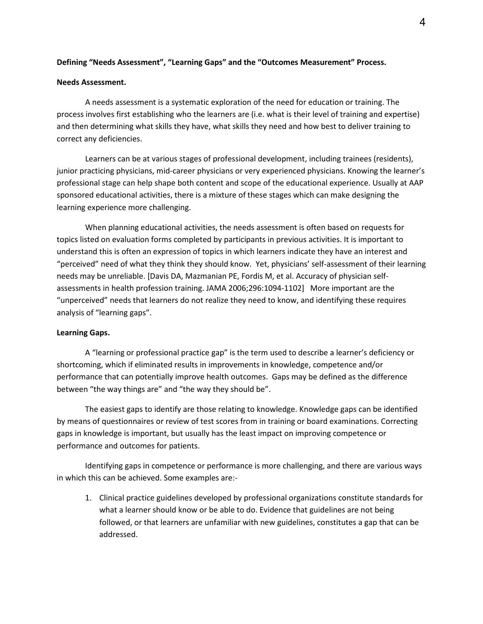#### **Defining "Needs Assessment", "Learning Gaps" and the "Outcomes Measurement" Process.**

#### **Needs Assessment.**

A needs assessment is a systematic exploration of the need for education or training. The process involves first establishing who the learners are (i.e. what is their level of training and expertise) and then determining what skills they have, what skills they need and how best to deliver training to correct any deficiencies.

Learners can be at various stages of professional development, including trainees (residents), junior practicing physicians, mid-career physicians or very experienced physicians. Knowing the learner's professional stage can help shape both content and scope of the educational experience. Usually at AAP sponsored educational activities, there is a mixture of these stages which can make designing the learning experience more challenging.

When planning educational activities, the needs assessment is often based on requests for topics listed on evaluation forms completed by participants in previous activities. It is important to understand this is often an expression of topics in which learners indicate they have an interest and "perceived" need of what they think they should know. Yet, physicians' self-assessment of their learning needs may be unreliable. [Davis DA, Mazmanian PE, Fordis M, et al. Accuracy of physician selfassessments in health profession training. JAMA 2006;296:1094-1102] More important are the "unperceived" needs that learners do not realize they need to know, and identifying these requires analysis of "learning gaps".

#### **Learning Gaps.**

A "learning or professional practice gap" is the term used to describe a learner's deficiency or shortcoming, which if eliminated results in improvements in knowledge, competence and/or performance that can potentially improve health outcomes. Gaps may be defined as the difference between "the way things are" and "the way they should be".

The easiest gaps to identify are those relating to knowledge. Knowledge gaps can be identified by means of questionnaires or review of test scores from in training or board examinations. Correcting gaps in knowledge is important, but usually has the least impact on improving competence or performance and outcomes for patients.

Identifying gaps in competence or performance is more challenging, and there are various ways in which this can be achieved. Some examples are:-

1. Clinical practice guidelines developed by professional organizations constitute standards for what a learner should know or be able to do. Evidence that guidelines are not being followed, or that learners are unfamiliar with new guidelines, constitutes a gap that can be addressed.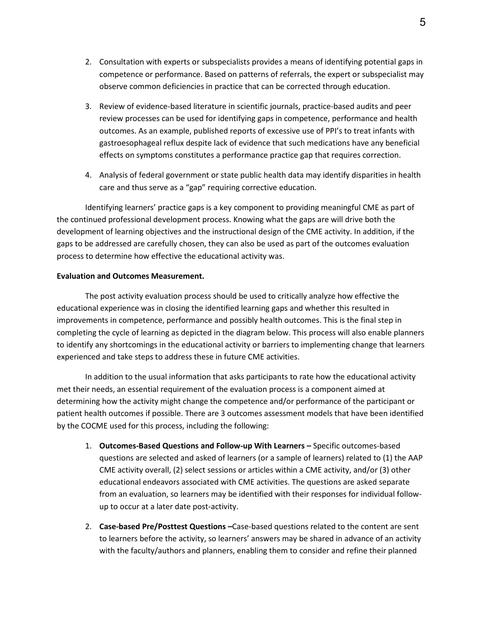- 2. Consultation with experts or subspecialists provides a means of identifying potential gaps in competence or performance. Based on patterns of referrals, the expert or subspecialist may observe common deficiencies in practice that can be corrected through education.
- 3. Review of evidence-based literature in scientific journals, practice-based audits and peer review processes can be used for identifying gaps in competence, performance and health outcomes. As an example, published reports of excessive use of PPI's to treat infants with gastroesophageal reflux despite lack of evidence that such medications have any beneficial effects on symptoms constitutes a performance practice gap that requires correction.
- 4. Analysis of federal government or state public health data may identify disparities in health care and thus serve as a "gap" requiring corrective education.

Identifying learners' practice gaps is a key component to providing meaningful CME as part of the continued professional development process. Knowing what the gaps are will drive both the development of learning objectives and the instructional design of the CME activity. In addition, if the gaps to be addressed are carefully chosen, they can also be used as part of the outcomes evaluation process to determine how effective the educational activity was.

#### **Evaluation and Outcomes Measurement.**

The post activity evaluation process should be used to critically analyze how effective the educational experience was in closing the identified learning gaps and whether this resulted in improvements in competence, performance and possibly health outcomes. This is the final step in completing the cycle of learning as depicted in the diagram below. This process will also enable planners to identify any shortcomings in the educational activity or barriers to implementing change that learners experienced and take steps to address these in future CME activities.

In addition to the usual information that asks participants to rate how the educational activity met their needs, an essential requirement of the evaluation process is a component aimed at determining how the activity might change the competence and/or performance of the participant or patient health outcomes if possible. There are 3 outcomes assessment models that have been identified by the COCME used for this process, including the following:

- 1. **Outcomes-Based Questions and Follow-up With Learners** Specific outcomes-based questions are selected and asked of learners (or a sample of learners) related to (1) the AAP CME activity overall, (2) select sessions or articles within a CME activity, and/or (3) other educational endeavors associated with CME activities. The questions are asked separate from an evaluation, so learners may be identified with their responses for individual followup to occur at a later date post-activity.
- 2. **Case-based Pre/Posttest Questions –**Case-based questions related to the content are sent to learners before the activity, so learners' answers may be shared in advance of an activity with the faculty/authors and planners, enabling them to consider and refine their planned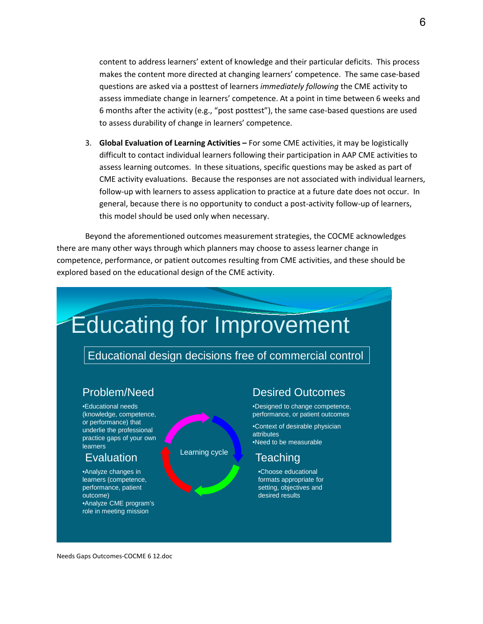content to address learners' extent of knowledge and their particular deficits. This process makes the content more directed at changing learners' competence. The same case-based questions are asked via a posttest of learners *immediately following* the CME activity to assess immediate change in learners' competence. At a point in time between 6 weeks and 6 months after the activity (e.g., "post posttest"), the same case-based questions are used to assess durability of change in learners' competence.

3. **Global Evaluation of Learning Activities –** For some CME activities, it may be logistically difficult to contact individual learners following their participation in AAP CME activities to assess learning outcomes. In these situations, specific questions may be asked as part of CME activity evaluations. Because the responses are not associated with individual learners, follow-up with learners to assess application to practice at a future date does not occur. In general, because there is no opportunity to conduct a post-activity follow-up of learners, this model should be used only when necessary.

Beyond the aforementioned outcomes measurement strategies, the COCME acknowledges there are many other ways through which planners may choose to assess learner change in competence, performance, or patient outcomes resulting from CME activities, and these should be explored based on the educational design of the CME activity.



Needs Gaps Outcomes-COCME 6 12.doc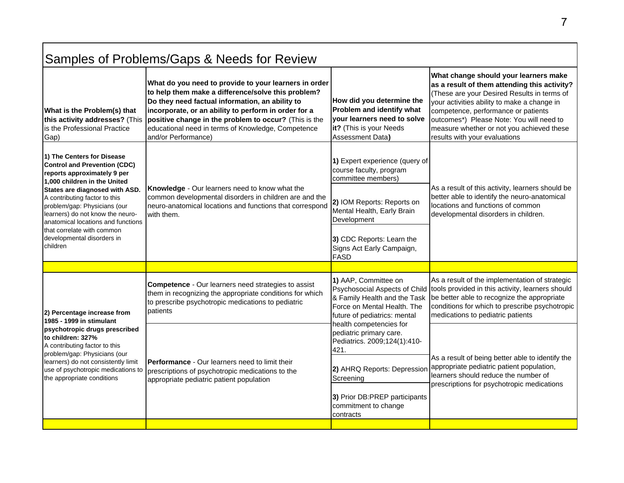| Samples of Problems/Gaps & Needs for Review                                                                                                                                                                                                                                                                                                                                           |                                                                                                                                                                                                                                                                                                                                                              |                                                                                                                                                                                                                                                                                                                        |                                                                                                                                                                                                                                                                                                                                                      |
|---------------------------------------------------------------------------------------------------------------------------------------------------------------------------------------------------------------------------------------------------------------------------------------------------------------------------------------------------------------------------------------|--------------------------------------------------------------------------------------------------------------------------------------------------------------------------------------------------------------------------------------------------------------------------------------------------------------------------------------------------------------|------------------------------------------------------------------------------------------------------------------------------------------------------------------------------------------------------------------------------------------------------------------------------------------------------------------------|------------------------------------------------------------------------------------------------------------------------------------------------------------------------------------------------------------------------------------------------------------------------------------------------------------------------------------------------------|
| What is the Problem(s) that<br>this activity addresses? (This<br>lis the Professional Practice<br>Gap)                                                                                                                                                                                                                                                                                | What do you need to provide to your learners in order<br>to help them make a difference/solve this problem?<br>Do they need factual information, an ability to<br>incorporate, or an ability to perform in order for a<br>positive change in the problem to occur? (This is the<br>educational need in terms of Knowledge, Competence<br>and/or Performance) | How did you determine the<br>Problem and identify what<br>vour learners need to solve<br>it? (This is your Needs<br>Assessment Data)                                                                                                                                                                                   | What change should your learners make<br>as a result of them attending this activity?<br>(These are your Desired Results in terms of<br>your activities ability to make a change in<br>competence, performance or patients<br>outcomes*) Please Note: You will need to<br>measure whether or not you achieved these<br>results with your evaluations |
| 1) The Centers for Disease<br><b>Control and Prevention (CDC)</b><br>reports approximately 9 per<br>1,000 children in the United<br>States are diagnosed with ASD.<br>A contributing factor to this<br>problem/gap: Physicians (our<br>learners) do not know the neuro-<br>anatomical locations and functions<br>that correlate with common<br>developmental disorders in<br>children | Knowledge - Our learners need to know what the<br>common developmental disorders in children are and the<br>neuro-anatomical locations and functions that correspond<br>with them.                                                                                                                                                                           | 1) Expert experience (query of<br>course faculty, program<br>committee members)<br>2) IOM Reports: Reports on<br>Mental Health, Early Brain<br>Development<br>3) CDC Reports: Learn the<br>Signs Act Early Campaign,<br><b>FASD</b>                                                                                    | As a result of this activity, learners should be<br>better able to identify the neuro-anatomical<br>locations and functions of common<br>developmental disorders in children.                                                                                                                                                                        |
|                                                                                                                                                                                                                                                                                                                                                                                       |                                                                                                                                                                                                                                                                                                                                                              |                                                                                                                                                                                                                                                                                                                        |                                                                                                                                                                                                                                                                                                                                                      |
| 2) Percentage increase from<br>1985 - 1999 in stimulant<br>psychotropic drugs prescribed<br>to children: 327%<br>A contributing factor to this<br>problem/gap: Physicians (our<br>learners) do not consistently limit<br>use of psychotropic medications to<br>the appropriate conditions                                                                                             | <b>Competence</b> - Our learners need strategies to assist<br>them in recognizing the appropriate conditions for which<br>to prescribe psychotropic medications to pediatric<br>patients                                                                                                                                                                     | 1) AAP, Committee on<br>& Family Health and the Task<br>Force on Mental Health. The<br>future of pediatrics: mental<br>health competencies for<br>pediatric primary care.<br>Pediatrics. 2009;124(1):410-<br>421.<br>2) AHRQ Reports: Depression<br>Screening<br>3) Prior DB:PREP participants<br>commitment to change | As a result of the implementation of strategic<br>Psychosocial Aspects of Child tools provided in this activity, learners should<br>be better able to recognize the appropriate<br>conditions for which to prescribe psychotropic<br>medications to pediatric patients                                                                               |
|                                                                                                                                                                                                                                                                                                                                                                                       | <b>Performance</b> - Our learners need to limit their<br>prescriptions of psychotropic medications to the<br>appropriate pediatric patient population                                                                                                                                                                                                        |                                                                                                                                                                                                                                                                                                                        | As a result of being better able to identify the<br>appropriate pediatric patient population,<br>learners should reduce the number of<br>prescriptions for psychotropic medications                                                                                                                                                                  |
|                                                                                                                                                                                                                                                                                                                                                                                       |                                                                                                                                                                                                                                                                                                                                                              | contracts                                                                                                                                                                                                                                                                                                              |                                                                                                                                                                                                                                                                                                                                                      |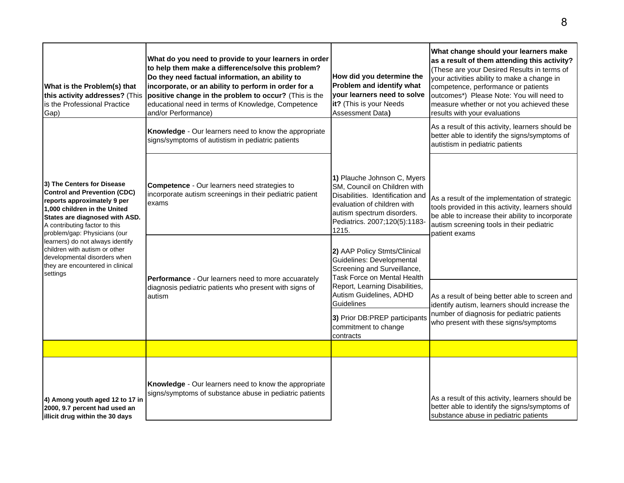| What is the Problem(s) that<br>this activity addresses? (This<br>is the Professional Practice<br>Gap)                                                                                                                                                                                                                                                                                    | What do you need to provide to your learners in order<br>to help them make a difference/solve this problem?<br>Do they need factual information, an ability to<br>incorporate, or an ability to perform in order for a<br>positive change in the problem to occur? (This is the<br>educational need in terms of Knowledge, Competence<br>and/or Performance) | How did you determine the<br>Problem and identify what<br>your learners need to solve<br>it? (This is your Needs<br><b>Assessment Data)</b>                                                                                                                         | What change should your learners make<br>as a result of them attending this activity?<br>(These are your Desired Results in terms of<br>your activities ability to make a change in<br>competence, performance or patients<br>outcomes*) Please Note: You will need to<br>measure whether or not you achieved these<br>results with your evaluations |
|------------------------------------------------------------------------------------------------------------------------------------------------------------------------------------------------------------------------------------------------------------------------------------------------------------------------------------------------------------------------------------------|--------------------------------------------------------------------------------------------------------------------------------------------------------------------------------------------------------------------------------------------------------------------------------------------------------------------------------------------------------------|---------------------------------------------------------------------------------------------------------------------------------------------------------------------------------------------------------------------------------------------------------------------|------------------------------------------------------------------------------------------------------------------------------------------------------------------------------------------------------------------------------------------------------------------------------------------------------------------------------------------------------|
| 3) The Centers for Disease<br><b>Control and Prevention (CDC)</b><br>reports approximately 9 per<br>1,000 children in the United<br>States are diagnosed with ASD.<br>A contributing factor to this<br>problem/gap: Physicians (our<br>learners) do not always identify<br>children with autism or other<br>developmental disorders when<br>they are encountered in clinical<br>settings | Knowledge - Our learners need to know the appropriate<br>signs/symptoms of autistism in pediatric patients                                                                                                                                                                                                                                                   |                                                                                                                                                                                                                                                                     | As a result of this activity, learners should be<br>better able to identify the signs/symptoms of<br>autistism in pediatric patients                                                                                                                                                                                                                 |
|                                                                                                                                                                                                                                                                                                                                                                                          | <b>Competence</b> - Our learners need strategies to<br>incorporate autism screenings in their pediatric patient<br>exams                                                                                                                                                                                                                                     | 1) Plauche Johnson C, Myers<br>SM, Council on Children with<br>Disabilities. Identification and<br>evaluation of children with<br>autism spectrum disorders.<br>Pediatrics. 2007;120(5):1183-<br>1215.<br>2) AAP Policy Stmts/Clinical<br>Guidelines: Developmental | As a result of the implementation of strategic<br>tools provided in this activity, learners should<br>be able to increase their ability to incorporate<br>autism screening tools in their pediatric<br>patient exams                                                                                                                                 |
|                                                                                                                                                                                                                                                                                                                                                                                          | Performance - Our learners need to more accuarately<br>diagnosis pediatric patients who present with signs of<br>autism                                                                                                                                                                                                                                      | Screening and Surveillance,<br>Task Force on Mental Health<br>Report, Learning Disabilities,<br>Autism Guidelines, ADHD<br>Guidelines                                                                                                                               | As a result of being better able to screen and<br>identify autism, learners should increase the<br>number of diagnosis for pediatric patients<br>who present with these signs/symptoms                                                                                                                                                               |
|                                                                                                                                                                                                                                                                                                                                                                                          |                                                                                                                                                                                                                                                                                                                                                              | 3) Prior DB:PREP participants<br>commitment to change<br>contracts                                                                                                                                                                                                  |                                                                                                                                                                                                                                                                                                                                                      |
|                                                                                                                                                                                                                                                                                                                                                                                          |                                                                                                                                                                                                                                                                                                                                                              |                                                                                                                                                                                                                                                                     |                                                                                                                                                                                                                                                                                                                                                      |
| 4) Among youth aged 12 to 17 in<br>2000, 9.7 percent had used an<br>illicit drug within the 30 days                                                                                                                                                                                                                                                                                      | Knowledge - Our learners need to know the appropriate<br>signs/symptoms of substance abuse in pediatric patients                                                                                                                                                                                                                                             |                                                                                                                                                                                                                                                                     | As a result of this activity, learners should be<br>better able to identify the signs/symptoms of<br>substance abuse in pediatric patients                                                                                                                                                                                                           |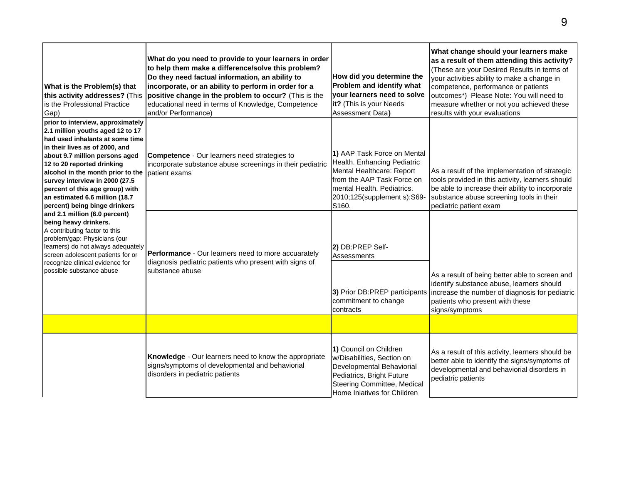| What is the Problem(s) that<br>this activity addresses? (This<br>is the Professional Practice<br>Gap)                                                                                                                                                                                                                                                                                                                                                                                                                                                                                                                                                        | What do you need to provide to your learners in order<br>to help them make a difference/solve this problem?<br>Do they need factual information, an ability to<br>incorporate, or an ability to perform in order for a<br>positive change in the problem to occur? (This is the<br>educational need in terms of Knowledge, Competence<br>and/or Performance) | How did you determine the<br>Problem and identify what<br>your learners need to solve<br>it? (This is your Needs<br>Assessment Data)                                                        | What change should your learners make<br>as a result of them attending this activity?<br>(These are your Desired Results in terms of<br>your activities ability to make a change in<br>competence, performance or patients<br>outcomes*) Please Note: You will need to<br>measure whether or not you achieved these<br>results with your evaluations |
|--------------------------------------------------------------------------------------------------------------------------------------------------------------------------------------------------------------------------------------------------------------------------------------------------------------------------------------------------------------------------------------------------------------------------------------------------------------------------------------------------------------------------------------------------------------------------------------------------------------------------------------------------------------|--------------------------------------------------------------------------------------------------------------------------------------------------------------------------------------------------------------------------------------------------------------------------------------------------------------------------------------------------------------|---------------------------------------------------------------------------------------------------------------------------------------------------------------------------------------------|------------------------------------------------------------------------------------------------------------------------------------------------------------------------------------------------------------------------------------------------------------------------------------------------------------------------------------------------------|
| prior to interview, approximately<br>2.1 million youths aged 12 to 17<br>had used inhalants at some time<br>in their lives as of 2000, and<br>about 9.7 million persons aged<br>12 to 20 reported drinking<br>alcohol in the month prior to the<br>survey interview in 2000 (27.5<br>percent of this age group) with<br>an estimated 6.6 million (18.7<br>percent) being binge drinkers<br>and 2.1 million (6.0 percent)<br>being heavy drinkers.<br>A contributing factor to this<br>problem/gap: Physicians (our<br>learners) do not always adequately<br>screen adolescent patients for or<br>recognize clinical evidence for<br>possible substance abuse | <b>Competence</b> - Our learners need strategies to<br>incorporate substance abuse screenings in their pediatric<br>patient exams                                                                                                                                                                                                                            | 1) AAP Task Force on Mental<br>Health. Enhancing Pediatric<br>Mental Healthcare: Report<br>from the AAP Task Force on<br>mental Health, Pediatrics.<br>2010;125(supplement s):S69-<br>S160. | As a result of the implementation of strategic<br>tools provided in this activity, learners should<br>be able to increase their ability to incorporate<br>substance abuse screening tools in their<br>pediatric patient exam                                                                                                                         |
|                                                                                                                                                                                                                                                                                                                                                                                                                                                                                                                                                                                                                                                              | <b>Performance</b> - Our learners need to more accuarately<br>diagnosis pediatric patients who present with signs of<br>substance abuse                                                                                                                                                                                                                      | 2) DB:PREP Self-<br>Assessments<br>3) Prior DB:PREP participants<br>commitment to change<br>contracts                                                                                       | As a result of being better able to screen and<br>identify substance abuse, learners should<br>increase the number of diagnosis for pediatric<br>patients who present with these<br>signs/symptoms                                                                                                                                                   |
|                                                                                                                                                                                                                                                                                                                                                                                                                                                                                                                                                                                                                                                              |                                                                                                                                                                                                                                                                                                                                                              |                                                                                                                                                                                             |                                                                                                                                                                                                                                                                                                                                                      |
|                                                                                                                                                                                                                                                                                                                                                                                                                                                                                                                                                                                                                                                              | Knowledge - Our learners need to know the appropriate<br>signs/symptoms of developmental and behaviorial<br>disorders in pediatric patients                                                                                                                                                                                                                  | 1) Council on Children<br>w/Disabilities, Section on<br>Developmental Behaviorial<br>Pediatrics, Bright Future<br>Steering Committee, Medical<br>Home Iniatives for Children                | As a result of this activity, learners should be<br>better able to identify the signs/symptoms of<br>developmental and behaviorial disorders in<br>pediatric patients                                                                                                                                                                                |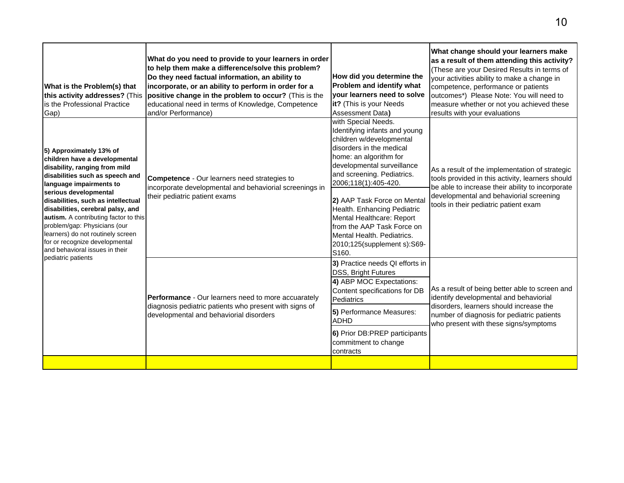| What is the Problem(s) that<br>this activity addresses? (This<br>is the Professional Practice<br>Gap)                                                                                                                                                                                                                                                                                                                                                               | What do you need to provide to your learners in order<br>to help them make a difference/solve this problem?<br>Do they need factual information, an ability to<br>incorporate, or an ability to perform in order for a<br>positive change in the problem to occur? (This is the<br>educational need in terms of Knowledge, Competence<br>and/or Performance) | How did you determine the<br>Problem and identify what<br>your learners need to solve<br>it? (This is your Needs<br><b>Assessment Data)</b>                                                                                                                                                                                                                                                                               | What change should your learners make<br>as a result of them attending this activity?<br>(These are your Desired Results in terms of<br>your activities ability to make a change in<br>competence, performance or patients<br>outcomes*) Please Note: You will need to<br>measure whether or not you achieved these<br>results with your evaluations |
|---------------------------------------------------------------------------------------------------------------------------------------------------------------------------------------------------------------------------------------------------------------------------------------------------------------------------------------------------------------------------------------------------------------------------------------------------------------------|--------------------------------------------------------------------------------------------------------------------------------------------------------------------------------------------------------------------------------------------------------------------------------------------------------------------------------------------------------------|---------------------------------------------------------------------------------------------------------------------------------------------------------------------------------------------------------------------------------------------------------------------------------------------------------------------------------------------------------------------------------------------------------------------------|------------------------------------------------------------------------------------------------------------------------------------------------------------------------------------------------------------------------------------------------------------------------------------------------------------------------------------------------------|
| 5) Approximately 13% of<br>children have a developmental<br>disability, ranging from mild<br>disabilities such as speech and<br>language impairments to<br>serious developmental<br>disabilities, such as intellectual<br>disabilities, cerebral palsy, and<br>autism. A contributing factor to this<br>problem/gap: Physicians (our<br>learners) do not routinely screen<br>for or recognize developmental<br>and behavioral issues in their<br>pediatric patients | Competence - Our learners need strategies to<br>incorporate developmental and behaviorial screenings in<br>their pediatric patient exams                                                                                                                                                                                                                     | with Special Needs.<br>Identifying infants and young<br>children w/developmental<br>disorders in the medical<br>home: an algorithm for<br>developmental surveillance<br>and screening. Pediatrics.<br>2006;118(1):405-420.<br>2) AAP Task Force on Mental<br>Health. Enhancing Pediatric<br>Mental Healthcare: Report<br>from the AAP Task Force on<br>Mental Health. Pediatrics.<br>2010;125(supplement s):S69-<br>S160. | As a result of the implementation of strategic<br>tools provided in this activity, learners should<br>be able to increase their ability to incorporate<br>developmental and behaviorial screening<br>tools in their pediatric patient exam                                                                                                           |
|                                                                                                                                                                                                                                                                                                                                                                                                                                                                     | Performance - Our learners need to more accuarately<br>diagnosis pediatric patients who present with signs of<br>developmental and behaviorial disorders                                                                                                                                                                                                     | 3) Practice needs QI efforts in<br><b>DSS, Bright Futures</b><br>4) ABP MOC Expectations:<br>Content specifications for DB<br>Pediatrics<br>5) Performance Measures:<br><b>ADHD</b><br>6) Prior DB:PREP participants<br>commitment to change<br>contracts                                                                                                                                                                 | As a result of being better able to screen and<br>identify developmental and behaviorial<br>disorders, learners should increase the<br>number of diagnosis for pediatric patients<br>who present with these signs/symptoms                                                                                                                           |
|                                                                                                                                                                                                                                                                                                                                                                                                                                                                     |                                                                                                                                                                                                                                                                                                                                                              |                                                                                                                                                                                                                                                                                                                                                                                                                           |                                                                                                                                                                                                                                                                                                                                                      |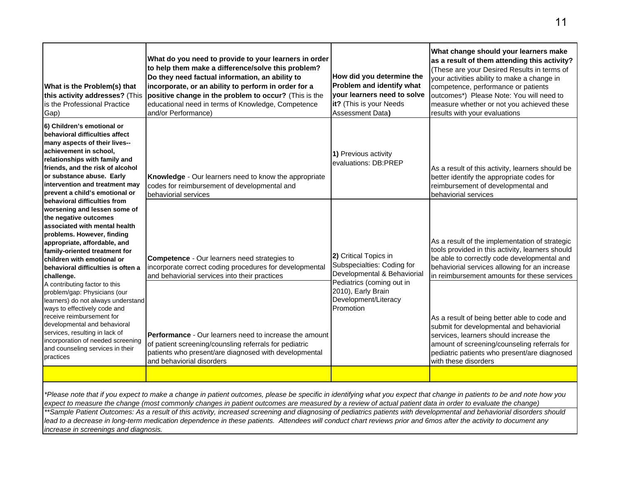| What is the Problem(s) that<br>this activity addresses? (This<br>is the Professional Practice<br>Gap)                                                                                                                                                                                                                                                                                                                                                                                                        | What do you need to provide to your learners in order<br>to help them make a difference/solve this problem?<br>Do they need factual information, an ability to<br>incorporate, or an ability to perform in order for a<br>positive change in the problem to occur? (This is the<br>educational need in terms of Knowledge, Competence<br>and/or Performance) | How did you determine the<br>Problem and identify what<br>your learners need to solve<br>it? (This is your Needs<br><b>Assessment Data)</b> | What change should your learners make<br>as a result of them attending this activity?<br>(These are your Desired Results in terms of<br>your activities ability to make a change in<br>competence, performance or patients<br>outcomes*) Please Note: You will need to<br>measure whether or not you achieved these<br>results with your evaluations |
|--------------------------------------------------------------------------------------------------------------------------------------------------------------------------------------------------------------------------------------------------------------------------------------------------------------------------------------------------------------------------------------------------------------------------------------------------------------------------------------------------------------|--------------------------------------------------------------------------------------------------------------------------------------------------------------------------------------------------------------------------------------------------------------------------------------------------------------------------------------------------------------|---------------------------------------------------------------------------------------------------------------------------------------------|------------------------------------------------------------------------------------------------------------------------------------------------------------------------------------------------------------------------------------------------------------------------------------------------------------------------------------------------------|
| 6) Children's emotional or<br>behavioral difficulties affect<br>many aspects of their lives--<br>achievement in school,<br>relationships with family and<br>friends, and the risk of alcohol<br>or substance abuse. Early<br>intervention and treatment may<br>prevent a child's emotional or                                                                                                                                                                                                                | Knowledge - Our learners need to know the appropriate<br>codes for reimbursement of developmental and<br>behaviorial services                                                                                                                                                                                                                                | 1) Previous activity<br>evaluations: DB:PREP                                                                                                | As a result of this activity, learners should be<br>better identify the appropriate codes for<br>reimbursement of developmental and<br>behaviorial services                                                                                                                                                                                          |
| behavioral difficulties from<br>worsening and lessen some of<br>the negative outcomes<br>associated with mental health<br>problems. However, finding<br>appropriate, affordable, and<br>family-oriented treatment for<br>children with emotional or<br>behavioral difficulties is often a<br>challenge.                                                                                                                                                                                                      | <b>Competence</b> - Our learners need strategies to<br>incorporate correct coding procedures for developmental<br>and behaviorial services into their practices                                                                                                                                                                                              | 2) Critical Topics in<br>Subspecialties: Coding for<br>Developmental & Behaviorial                                                          | As a result of the implementation of strategic<br>tools provided in this activity, learners should<br>be able to correctly code developmental and<br>behaviorial services allowing for an increase<br>in reimbursement amounts for these services                                                                                                    |
| A contributing factor to this<br>problem/gap: Physicians (our<br>learners) do not always understand<br>ways to effectively code and<br>receive reimbursement for<br>developmental and behavioral<br>services, resulting in lack of<br>incorporation of needed screening<br>and counseling services in their<br>practices                                                                                                                                                                                     | <b>Performance</b> - Our learners need to increase the amount<br>of patient screening/counsling referrals for pediatric<br>patients who present/are diagnosed with developmental<br>and behaviorial disorders                                                                                                                                                | Pediatrics (coming out in<br>2010), Early Brain<br>Development/Literacy<br>Promotion                                                        | As a result of being better able to code and<br>submit for developmental and behaviorial<br>services, learners should increase the<br>amount of screening/counseling referrals for<br>pediatric patients who present/are diagnosed<br>with these disorders                                                                                           |
|                                                                                                                                                                                                                                                                                                                                                                                                                                                                                                              |                                                                                                                                                                                                                                                                                                                                                              |                                                                                                                                             |                                                                                                                                                                                                                                                                                                                                                      |
| *Please note that if you expect to make a change in patient outcomes, please be specific in identifying what you expect that change in patients to be and note how you<br>expect to measure the change (most commonly changes in patient outcomes are measured by a review of actual patient data in order to evaluate the change)<br>**Sample Patient Outcomes: As a result of this activity, increased screening and diagnosing of pediatrics patients with developmental and behaviorial disorders should |                                                                                                                                                                                                                                                                                                                                                              |                                                                                                                                             |                                                                                                                                                                                                                                                                                                                                                      |
| lead to a decrease in long-term medication dependence in these patients. Attendees will conduct chart reviews prior and 6mos after the activity to document any<br>increase in screenings and diagnosis.                                                                                                                                                                                                                                                                                                     |                                                                                                                                                                                                                                                                                                                                                              |                                                                                                                                             |                                                                                                                                                                                                                                                                                                                                                      |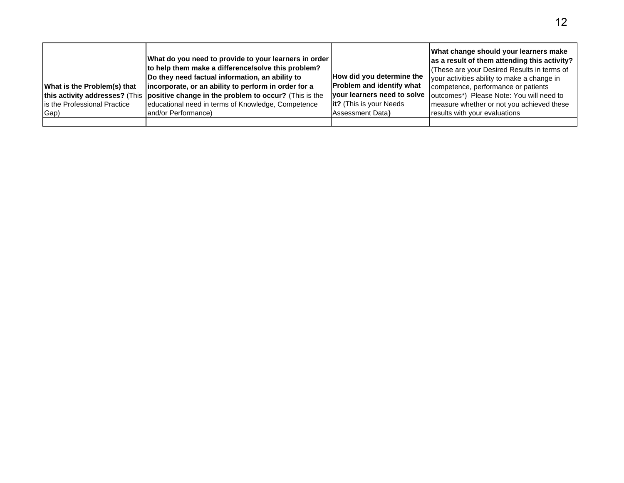| What is the Problem(s) that<br>Is the Professional Practice<br>Gap) | What do you need to provide to your learners in order<br>to help them make a difference/solve this problem?<br>Do they need factual information, an ability to<br>incorporate, or an ability to perform in order for a<br>this activity addresses? (This   positive change in the problem to occur? (This is the<br>educational need in terms of Knowledge, Competence<br>land/or Performance) | How did you determine the<br>Problem and identify what<br>your learners need to solve<br><b>lit?</b> (This is your Needs)<br>Assessment Data) | What change should your learners make<br>as a result of them attending this activity?<br>(These are your Desired Results in terms of<br>your activities ability to make a change in<br>competence, performance or patients<br>outcomes*) Please Note: You will need to<br>measure whether or not you achieved these<br>results with your evaluations |
|---------------------------------------------------------------------|------------------------------------------------------------------------------------------------------------------------------------------------------------------------------------------------------------------------------------------------------------------------------------------------------------------------------------------------------------------------------------------------|-----------------------------------------------------------------------------------------------------------------------------------------------|------------------------------------------------------------------------------------------------------------------------------------------------------------------------------------------------------------------------------------------------------------------------------------------------------------------------------------------------------|
|                                                                     |                                                                                                                                                                                                                                                                                                                                                                                                |                                                                                                                                               |                                                                                                                                                                                                                                                                                                                                                      |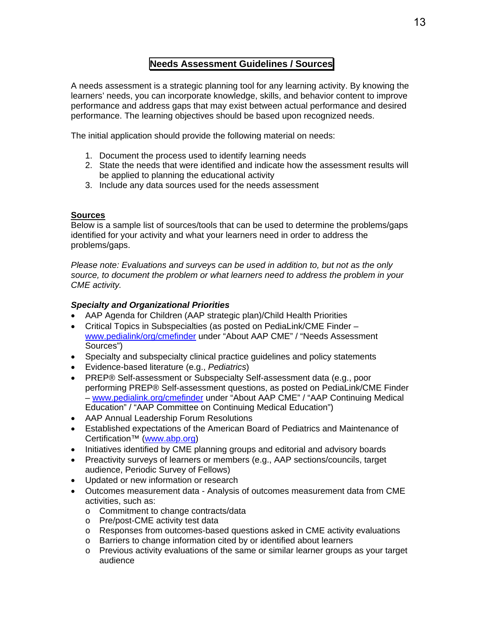## **Needs Assessment Guidelines / Sources**

A needs assessment is a strategic planning tool for any learning activity. By knowing the learners' needs, you can incorporate knowledge, skills, and behavior content to improve performance and address gaps that may exist between actual performance and desired performance. The learning objectives should be based upon recognized needs.

The initial application should provide the following material on needs:

- 1. Document the process used to identify learning needs
- 2. State the needs that were identified and indicate how the assessment results will be applied to planning the educational activity
- 3. Include any data sources used for the needs assessment

## **Sources**

Below is a sample list of sources/tools that can be used to determine the problems/gaps identified for your activity and what your learners need in order to address the problems/gaps.

*Please note: Evaluations and surveys can be used in addition to, but not as the only source, to document the problem or what learners need to address the problem in your CME activity.* 

## *Specialty and Organizational Priorities*

- AAP Agenda for Children (AAP strategic plan)/Child Health Priorities
- Critical Topics in Subspecialties (as posted on PediaLink/CME Finder www.pedialink/org/cmefinder under "About AAP CME" / "Needs Assessment Sources")
- Specialty and subspecialty clinical practice guidelines and policy statements
- Evidence-based literature (e.g., *Pediatrics*)
- PREP® Self-assessment or Subspecialty Self-assessment data (e.g., poor performing PREP® Self-assessment questions, as posted on PediaLink/CME Finder – www.pedialink.org/cmefinder under "About AAP CME" / "AAP Continuing Medical Education" / "AAP Committee on Continuing Medical Education")
- AAP Annual Leadership Forum Resolutions
- Established expectations of the American Board of Pediatrics and Maintenance of Certification™ (www.abp.org)
- Initiatives identified by CME planning groups and editorial and advisory boards
- Preactivity surveys of learners or members (e.g., AAP sections/councils, target audience, Periodic Survey of Fellows)
- Updated or new information or research
- Outcomes measurement data Analysis of outcomes measurement data from CME activities, such as:
	- o Commitment to change contracts/data
	- o Pre/post-CME activity test data
	- o Responses from outcomes-based questions asked in CME activity evaluations
	- o Barriers to change information cited by or identified about learners
	- o Previous activity evaluations of the same or similar learner groups as your target audience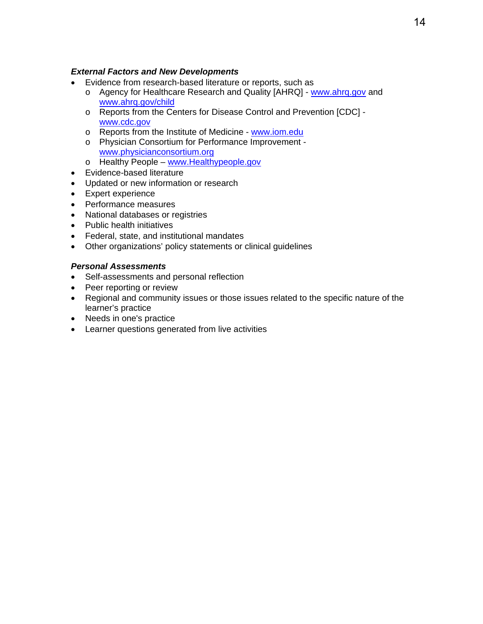## *External Factors and New Developments*

- Evidence from research-based literature or reports, such as
	- o Agency for Healthcare Research and Quality [AHRQ] www.ahrq.gov and www.ahrq.gov/child
	- o Reports from the Centers for Disease Control and Prevention [CDC] www.cdc.gov
	- o Reports from the Institute of Medicine www.iom.edu
	- o Physician Consortium for Performance Improvement www.physicianconsortium.org
	- o Healthy People www.Healthypeople.gov
- Evidence-based literature
- Updated or new information or research
- Expert experience
- Performance measures
- National databases or registries
- Public health initiatives
- Federal, state, and institutional mandates
- Other organizations' policy statements or clinical guidelines

### *Personal Assessments*

- Self-assessments and personal reflection
- Peer reporting or review
- Regional and community issues or those issues related to the specific nature of the learner's practice
- Needs in one's practice
- Learner questions generated from live activities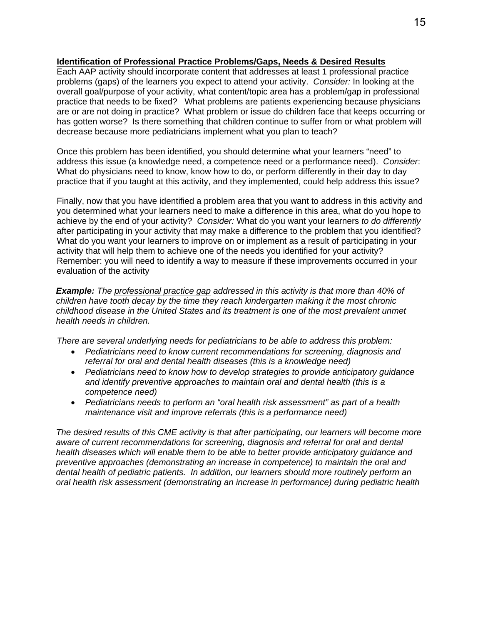## **Identification of Professional Practice Problems/Gaps, Needs & Desired Results**

Each AAP activity should incorporate content that addresses at least 1 professional practice problems (gaps) of the learners you expect to attend your activity. *Consider:* In looking at the overall goal/purpose of your activity, what content/topic area has a problem/gap in professional practice that needs to be fixed? What problems are patients experiencing because physicians are or are not doing in practice? What problem or issue do children face that keeps occurring or has gotten worse? Is there something that children continue to suffer from or what problem will decrease because more pediatricians implement what you plan to teach?

Once this problem has been identified, you should determine what your learners "need" to address this issue (a knowledge need, a competence need or a performance need). *Consider*: What do physicians need to know, know how to do, or perform differently in their day to day practice that if you taught at this activity, and they implemented, could help address this issue?

Finally, now that you have identified a problem area that you want to address in this activity and you determined what your learners need to make a difference in this area, what do you hope to achieve by the end of your activity? *Consider:* What do you want your learners *to do differently* after participating in your activity that may make a difference to the problem that you identified? What do you want your learners to improve on or implement as a result of participating in your activity that will help them to achieve one of the needs you identified for your activity? Remember: you will need to identify a way to measure if these improvements occurred in your evaluation of the activity

*Example: The professional practice gap addressed in this activity is that more than 40% of children have tooth decay by the time they reach kindergarten making it the most chronic childhood disease in the United States and its treatment is one of the most prevalent unmet health needs in children.* 

*There are several underlying needs for pediatricians to be able to address this problem:* 

- *Pediatricians need to know current recommendations for screening, diagnosis and referral for oral and dental health diseases (this is a knowledge need)*
- *Pediatricians need to know how to develop strategies to provide anticipatory guidance and identify preventive approaches to maintain oral and dental health (this is a competence need)*
- *Pediatricians needs to perform an "oral health risk assessment" as part of a health maintenance visit and improve referrals (this is a performance need)*

*The desired results of this CME activity is that after participating, our learners will become more aware of current recommendations for screening, diagnosis and referral for oral and dental health diseases which will enable them to be able to better provide anticipatory guidance and preventive approaches (demonstrating an increase in competence) to maintain the oral and dental health of pediatric patients. In addition, our learners should more routinely perform an oral health risk assessment (demonstrating an increase in performance) during pediatric health*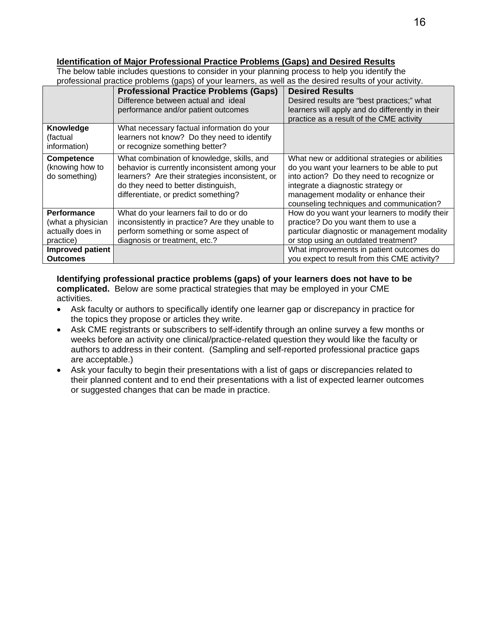## **Identification of Major Professional Practice Problems (Gaps) and Desired Results**

The below table includes questions to consider in your planning process to help you identify the professional practice problems (gaps) of your learners, as well as the desired results of your activity.

|                                                                          | <b>Professional Practice Problems (Gaps)</b><br>Difference between actual and ideal<br>performance and/or patient outcomes                                                                                                    | <b>Desired Results</b><br>Desired results are "best practices;" what<br>learners will apply and do differently in their<br>practice as a result of the CME activity                                                                                                  |
|--------------------------------------------------------------------------|-------------------------------------------------------------------------------------------------------------------------------------------------------------------------------------------------------------------------------|----------------------------------------------------------------------------------------------------------------------------------------------------------------------------------------------------------------------------------------------------------------------|
| Knowledge<br>(factual<br>information)                                    | What necessary factual information do your<br>learners not know? Do they need to identify<br>or recognize something better?                                                                                                   |                                                                                                                                                                                                                                                                      |
| Competence<br>(knowing how to<br>do something)                           | What combination of knowledge, skills, and<br>behavior is currently inconsistent among your<br>learners? Are their strategies inconsistent, or<br>do they need to better distinguish,<br>differentiate, or predict something? | What new or additional strategies or abilities<br>do you want your learners to be able to put<br>into action? Do they need to recognize or<br>integrate a diagnostic strategy or<br>management modality or enhance their<br>counseling techniques and communication? |
| <b>Performance</b><br>(what a physician<br>actually does in<br>practice) | What do your learners fail to do or do<br>inconsistently in practice? Are they unable to<br>perform something or some aspect of<br>diagnosis or treatment, etc.?                                                              | How do you want your learners to modify their<br>practice? Do you want them to use a<br>particular diagnostic or management modality<br>or stop using an outdated treatment?                                                                                         |
| <b>Improved patient</b><br><b>Outcomes</b>                               |                                                                                                                                                                                                                               | What improvements in patient outcomes do<br>you expect to result from this CME activity?                                                                                                                                                                             |

**Identifying professional practice problems (gaps) of your learners does not have to be complicated.** Below are some practical strategies that may be employed in your CME activities.

- Ask faculty or authors to specifically identify one learner gap or discrepancy in practice for the topics they propose or articles they write.
- Ask CME registrants or subscribers to self-identify through an online survey a few months or weeks before an activity one clinical/practice-related question they would like the faculty or authors to address in their content. (Sampling and self-reported professional practice gaps are acceptable.)
- Ask your faculty to begin their presentations with a list of gaps or discrepancies related to their planned content and to end their presentations with a list of expected learner outcomes or suggested changes that can be made in practice.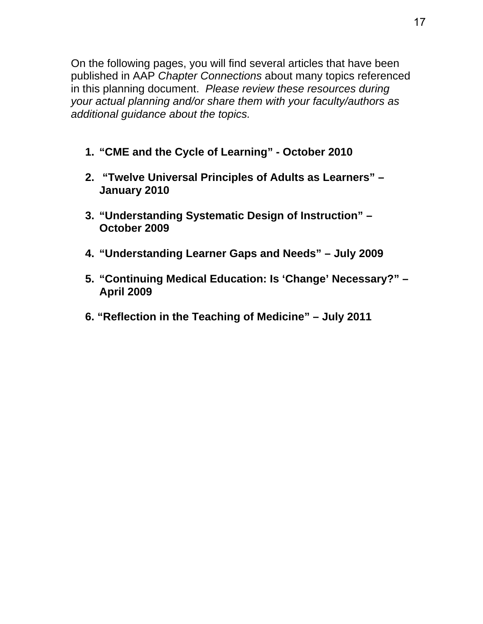On the following pages, you will find several articles that have been published in AAP *Chapter Connections* about many topics referenced in this planning document. *Please review these resources during your actual planning and/or share them with your faculty/authors as additional guidance about the topics.*

- **1. "CME and the Cycle of Learning" October 2010**
- **2. "Twelve Universal Principles of Adults as Learners" January 2010**
- **3. "Understanding Systematic Design of Instruction" October 2009**
- **4. "Understanding Learner Gaps and Needs" July 2009**
- **5. "Continuing Medical Education: Is 'Change' Necessary?" April 2009**
- **6. "Reflection in the Teaching of Medicine" July 2011**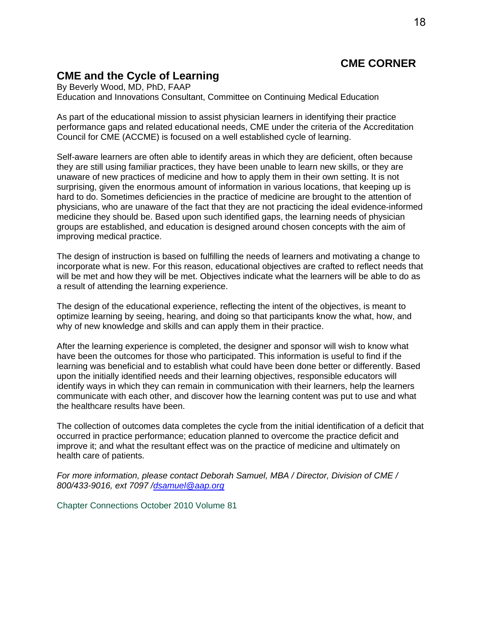## **CME CORNER**

## **CME and the Cycle of Learning**

By Beverly Wood, MD, PhD, FAAP Education and Innovations Consultant, Committee on Continuing Medical Education

As part of the educational mission to assist physician learners in identifying their practice performance gaps and related educational needs, CME under the criteria of the Accreditation Council for CME (ACCME) is focused on a well established cycle of learning.

Self-aware learners are often able to identify areas in which they are deficient, often because they are still using familiar practices, they have been unable to learn new skills, or they are unaware of new practices of medicine and how to apply them in their own setting. It is not surprising, given the enormous amount of information in various locations, that keeping up is hard to do. Sometimes deficiencies in the practice of medicine are brought to the attention of physicians, who are unaware of the fact that they are not practicing the ideal evidence-informed medicine they should be. Based upon such identified gaps, the learning needs of physician groups are established, and education is designed around chosen concepts with the aim of improving medical practice.

The design of instruction is based on fulfilling the needs of learners and motivating a change to incorporate what is new. For this reason, educational objectives are crafted to reflect needs that will be met and how they will be met. Objectives indicate what the learners will be able to do as a result of attending the learning experience.

The design of the educational experience, reflecting the intent of the objectives, is meant to optimize learning by seeing, hearing, and doing so that participants know the what, how, and why of new knowledge and skills and can apply them in their practice.

After the learning experience is completed, the designer and sponsor will wish to know what have been the outcomes for those who participated. This information is useful to find if the learning was beneficial and to establish what could have been done better or differently. Based upon the initially identified needs and their learning objectives, responsible educators will identify ways in which they can remain in communication with their learners, help the learners communicate with each other, and discover how the learning content was put to use and what the healthcare results have been.

The collection of outcomes data completes the cycle from the initial identification of a deficit that occurred in practice performance; education planned to overcome the practice deficit and improve it; and what the resultant effect was on the practice of medicine and ultimately on health care of patients.

*For more information, please contact Deborah Samuel, MBA / Director, Division of CME / 800/433-9016, ext 7097 /dsamuel@aap.org*

Chapter Connections October 2010 Volume 81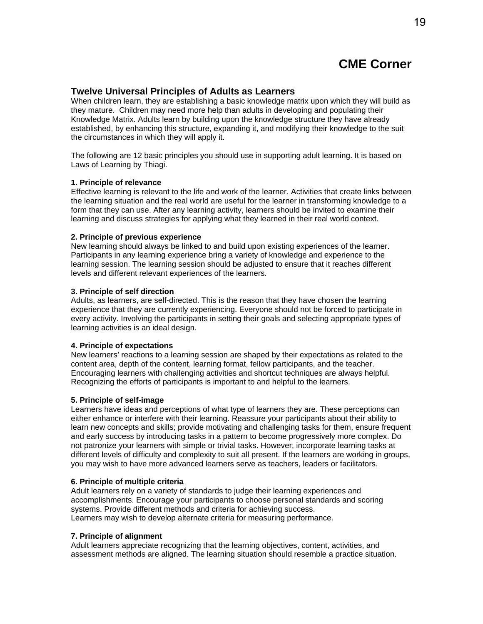#### **Twelve Universal Principles of Adults as Learners**

When children learn, they are establishing a basic knowledge matrix upon which they will build as they mature. Children may need more help than adults in developing and populating their Knowledge Matrix. Adults learn by building upon the knowledge structure they have already established, by enhancing this structure, expanding it, and modifying their knowledge to the suit the circumstances in which they will apply it.

The following are 12 basic principles you should use in supporting adult learning. It is based on Laws of Learning by Thiagi.

#### **1. Principle of relevance**

Effective learning is relevant to the life and work of the learner. Activities that create links between the learning situation and the real world are useful for the learner in transforming knowledge to a form that they can use. After any learning activity, learners should be invited to examine their learning and discuss strategies for applying what they learned in their real world context.

#### **2. Principle of previous experience**

New learning should always be linked to and build upon existing experiences of the learner. Participants in any learning experience bring a variety of knowledge and experience to the learning session. The learning session should be adjusted to ensure that it reaches different levels and different relevant experiences of the learners.

#### **3. Principle of self direction**

Adults, as learners, are self-directed. This is the reason that they have chosen the learning experience that they are currently experiencing. Everyone should not be forced to participate in every activity. Involving the participants in setting their goals and selecting appropriate types of learning activities is an ideal design.

#### **4. Principle of expectations**

New learners' reactions to a learning session are shaped by their expectations as related to the content area, depth of the content, learning format, fellow participants, and the teacher. Encouraging learners with challenging activities and shortcut techniques are always helpful. Recognizing the efforts of participants is important to and helpful to the learners.

#### **5. Principle of self-image**

Learners have ideas and perceptions of what type of learners they are. These perceptions can either enhance or interfere with their learning. Reassure your participants about their ability to learn new concepts and skills; provide motivating and challenging tasks for them, ensure frequent and early success by introducing tasks in a pattern to become progressively more complex. Do not patronize your learners with simple or trivial tasks. However, incorporate learning tasks at different levels of difficulty and complexity to suit all present. If the learners are working in groups, you may wish to have more advanced learners serve as teachers, leaders or facilitators.

#### **6. Principle of multiple criteria**

Adult learners rely on a variety of standards to judge their learning experiences and accomplishments. Encourage your participants to choose personal standards and scoring systems. Provide different methods and criteria for achieving success. Learners may wish to develop alternate criteria for measuring performance.

#### **7. Principle of alignment**

Adult learners appreciate recognizing that the learning objectives, content, activities, and assessment methods are aligned. The learning situation should resemble a practice situation.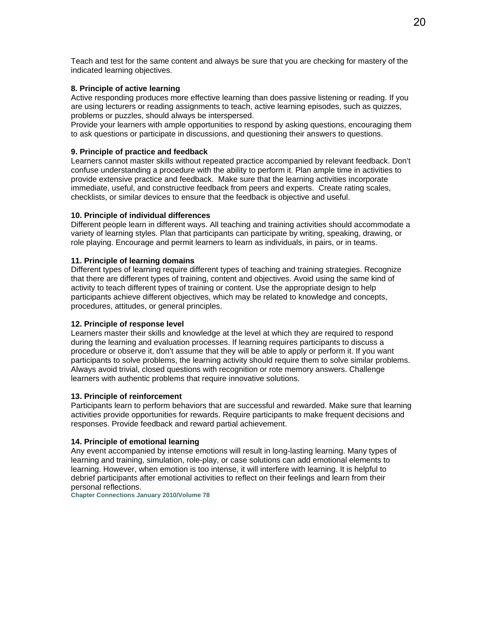Teach and test for the same content and always be sure that you are checking for mastery of the indicated learning objectives.

#### **8. Principle of active learning**

Active responding produces more effective learning than does passive listening or reading. If you are using lecturers or reading assignments to teach, active learning episodes, such as quizzes, problems or puzzles, should always be interspersed.

Provide your learners with ample opportunities to respond by asking questions, encouraging them to ask questions or participate in discussions, and questioning their answers to questions.

#### **9. Principle of practice and feedback**

Learners cannot master skills without repeated practice accompanied by relevant feedback. Don't confuse understanding a procedure with the ability to perform it. Plan ample time in activities to provide extensive practice and feedback. Make sure that the learning activities incorporate immediate, useful, and constructive feedback from peers and experts. Create rating scales, checklists, or similar devices to ensure that the feedback is objective and useful.

#### **10. Principle of individual differences**

Different people learn in different ways. All teaching and training activities should accommodate a variety of learning styles. Plan that participants can participate by writing, speaking, drawing, or role playing. Encourage and permit learners to learn as individuals, in pairs, or in teams.

#### **11. Principle of learning domains**

Different types of learning require different types of teaching and training strategies. Recognize that there are different types of training, content and objectives. Avoid using the same kind of activity to teach different types of training or content. Use the appropriate design to help participants achieve different objectives, which may be related to knowledge and concepts, procedures, attitudes, or general principles.

#### **12. Principle of response level**

Learners master their skills and knowledge at the level at which they are required to respond during the learning and evaluation processes. If learning requires participants to discuss a procedure or observe it, don't assume that they will be able to apply or perform it. If you want participants to solve problems, the learning activity should require them to solve similar problems. Always avoid trivial, closed questions with recognition or rote memory answers. Challenge learners with authentic problems that require innovative solutions.

#### **13. Principle of reinforcement**

Participants learn to perform behaviors that are successful and rewarded. Make sure that learning activities provide opportunities for rewards. Require participants to make frequent decisions and responses. Provide feedback and reward partial achievement.

#### **14. Principle of emotional learning**

Any event accompanied by intense emotions will result in long-lasting learning. Many types of learning and training, simulation, role-play, or case solutions can add emotional elements to learning. However, when emotion is too intense, it will interfere with learning. It is helpful to debrief participants after emotional activities to reflect on their feelings and learn from their personal reflections.

**Chapter Connections January 2010/Volume 78**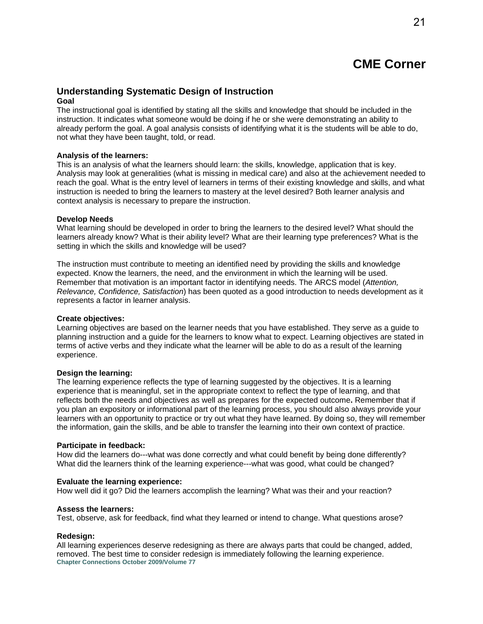## **Understanding Systematic Design of Instruction**

#### **Goal**

The instructional goal is identified by stating all the skills and knowledge that should be included in the instruction. It indicates what someone would be doing if he or she were demonstrating an ability to already perform the goal. A goal analysis consists of identifying what it is the students will be able to do, not what they have been taught, told, or read.

#### **Analysis of the learners:**

This is an analysis of what the learners should learn: the skills, knowledge, application that is key. Analysis may look at generalities (what is missing in medical care) and also at the achievement needed to reach the goal. What is the entry level of learners in terms of their existing knowledge and skills, and what instruction is needed to bring the learners to mastery at the level desired? Both learner analysis and context analysis is necessary to prepare the instruction.

#### **Develop Needs**

What learning should be developed in order to bring the learners to the desired level? What should the learners already know? What is their ability level? What are their learning type preferences? What is the setting in which the skills and knowledge will be used?

The instruction must contribute to meeting an identified need by providing the skills and knowledge expected. Know the learners, the need, and the environment in which the learning will be used. Remember that motivation is an important factor in identifying needs. The ARCS model (*Attention, Relevance, Confidence, Satisfaction*) has been quoted as a good introduction to needs development as it represents a factor in learner analysis.

#### **Create objectives:**

Learning objectives are based on the learner needs that you have established. They serve as a guide to planning instruction and a guide for the learners to know what to expect. Learning objectives are stated in terms of active verbs and they indicate what the learner will be able to do as a result of the learning experience.

#### **Design the learning:**

The learning experience reflects the type of learning suggested by the objectives. It is a learning experience that is meaningful, set in the appropriate context to reflect the type of learning, and that reflects both the needs and objectives as well as prepares for the expected outcome**.** Remember that if you plan an expository or informational part of the learning process, you should also always provide your learners with an opportunity to practice or try out what they have learned. By doing so, they will remember the information, gain the skills, and be able to transfer the learning into their own context of practice.

#### **Participate in feedback:**

How did the learners do---what was done correctly and what could benefit by being done differently? What did the learners think of the learning experience---what was good, what could be changed?

#### **Evaluate the learning experience:**

How well did it go? Did the learners accomplish the learning? What was their and your reaction?

#### **Assess the learners:**

Test, observe, ask for feedback, find what they learned or intend to change. What questions arose?

#### **Redesign:**

All learning experiences deserve redesigning as there are always parts that could be changed, added, removed. The best time to consider redesign is immediately following the learning experience. **Chapter Connections October 2009/Volume 77**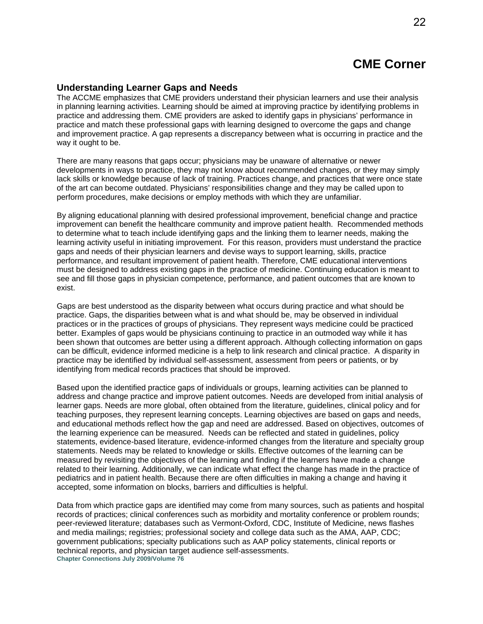### **Understanding Learner Gaps and Needs**

The ACCME emphasizes that CME providers understand their physician learners and use their analysis in planning learning activities. Learning should be aimed at improving practice by identifying problems in practice and addressing them. CME providers are asked to identify gaps in physicians' performance in practice and match these professional gaps with learning designed to overcome the gaps and change and improvement practice. A gap represents a discrepancy between what is occurring in practice and the way it ought to be.

There are many reasons that gaps occur; physicians may be unaware of alternative or newer developments in ways to practice, they may not know about recommended changes, or they may simply lack skills or knowledge because of lack of training. Practices change, and practices that were once state of the art can become outdated. Physicians' responsibilities change and they may be called upon to perform procedures, make decisions or employ methods with which they are unfamiliar.

By aligning educational planning with desired professional improvement, beneficial change and practice improvement can benefit the healthcare community and improve patient health. Recommended methods to determine what to teach include identifying gaps and the linking them to learner needs, making the learning activity useful in initiating improvement. For this reason, providers must understand the practice gaps and needs of their physician learners and devise ways to support learning, skills, practice performance, and resultant improvement of patient health. Therefore, CME educational interventions must be designed to address existing gaps in the practice of medicine. Continuing education is meant to see and fill those gaps in physician competence, performance, and patient outcomes that are known to exist.

Gaps are best understood as the disparity between what occurs during practice and what should be practice. Gaps, the disparities between what is and what should be, may be observed in individual practices or in the practices of groups of physicians. They represent ways medicine could be practiced better. Examples of gaps would be physicians continuing to practice in an outmoded way while it has been shown that outcomes are better using a different approach. Although collecting information on gaps can be difficult, evidence informed medicine is a help to link research and clinical practice. A disparity in practice may be identified by individual self-assessment, assessment from peers or patients, or by identifying from medical records practices that should be improved.

Based upon the identified practice gaps of individuals or groups, learning activities can be planned to address and change practice and improve patient outcomes. Needs are developed from initial analysis of learner gaps. Needs are more global, often obtained from the literature, guidelines, clinical policy and for teaching purposes, they represent learning concepts. Learning objectives are based on gaps and needs, and educational methods reflect how the gap and need are addressed. Based on objectives, outcomes of the learning experience can be measured. Needs can be reflected and stated in guidelines, policy statements, evidence-based literature, evidence-informed changes from the literature and specialty group statements. Needs may be related to knowledge or skills. Effective outcomes of the learning can be measured by revisiting the objectives of the learning and finding if the learners have made a change related to their learning. Additionally, we can indicate what effect the change has made in the practice of pediatrics and in patient health. Because there are often difficulties in making a change and having it accepted, some information on blocks, barriers and difficulties is helpful.

Data from which practice gaps are identified may come from many sources, such as patients and hospital records of practices; clinical conferences such as morbidity and mortality conference or problem rounds; peer-reviewed literature; databases such as Vermont-Oxford, CDC, Institute of Medicine, news flashes and media mailings; registries; professional society and college data such as the AMA, AAP, CDC; government publications; specialty publications such as AAP policy statements, clinical reports or technical reports, and physician target audience self-assessments. **Chapter Connections July 2009/Volume 76**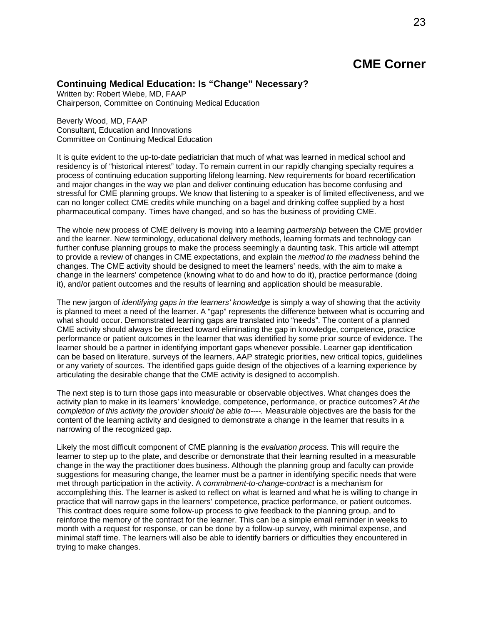### **Continuing Medical Education: Is "Change" Necessary?**

Written by: Robert Wiebe, MD, FAAP Chairperson, Committee on Continuing Medical Education

Beverly Wood, MD, FAAP Consultant, Education and Innovations Committee on Continuing Medical Education

It is quite evident to the up-to-date pediatrician that much of what was learned in medical school and residency is of "historical interest" today. To remain current in our rapidly changing specialty requires a process of continuing education supporting lifelong learning. New requirements for board recertification and major changes in the way we plan and deliver continuing education has become confusing and stressful for CME planning groups. We know that listening to a speaker is of limited effectiveness, and we can no longer collect CME credits while munching on a bagel and drinking coffee supplied by a host pharmaceutical company. Times have changed, and so has the business of providing CME.

The whole new process of CME delivery is moving into a learning *partnership* between the CME provider and the learner. New terminology, educational delivery methods, learning formats and technology can further confuse planning groups to make the process seemingly a daunting task. This article will attempt to provide a review of changes in CME expectations, and explain the *method to the madness* behind the changes. The CME activity should be designed to meet the learners' needs, with the aim to make a change in the learners' competence (knowing what to do and how to do it), practice performance (doing it), and/or patient outcomes and the results of learning and application should be measurable.

The new jargon of *identifying gaps in the learners' knowledge* is simply a way of showing that the activity is planned to meet a need of the learner. A "gap" represents the difference between what is occurring and what should occur. Demonstrated learning gaps are translated into "needs". The content of a planned CME activity should always be directed toward eliminating the gap in knowledge, competence, practice performance or patient outcomes in the learner that was identified by some prior source of evidence. The learner should be a partner in identifying important gaps whenever possible. Learner gap identification can be based on literature, surveys of the learners, AAP strategic priorities, new critical topics, guidelines or any variety of sources. The identified gaps guide design of the objectives of a learning experience by articulating the desirable change that the CME activity is designed to accomplish.

The next step is to turn those gaps into measurable or observable objectives. What changes does the activity plan to make in its learners' knowledge, competence, performance, or practice outcomes? *At the completion of this activity the provider should be able to----.* Measurable objectives are the basis for the content of the learning activity and designed to demonstrate a change in the learner that results in a narrowing of the recognized gap.

Likely the most difficult component of CME planning is the *evaluation process.* This will require the learner to step up to the plate, and describe or demonstrate that their learning resulted in a measurable change in the way the practitioner does business. Although the planning group and faculty can provide suggestions for measuring change, the learner must be a partner in identifying specific needs that were met through participation in the activity. A *commitment-to-change-contract* is a mechanism for accomplishing this. The learner is asked to reflect on what is learned and what he is willing to change in practice that will narrow gaps in the learners' competence, practice performance, or patient outcomes. This contract does require some follow-up process to give feedback to the planning group, and to reinforce the memory of the contract for the learner. This can be a simple email reminder in weeks to month with a request for response, or can be done by a follow-up survey, with minimal expense, and minimal staff time. The learners will also be able to identify barriers or difficulties they encountered in trying to make changes.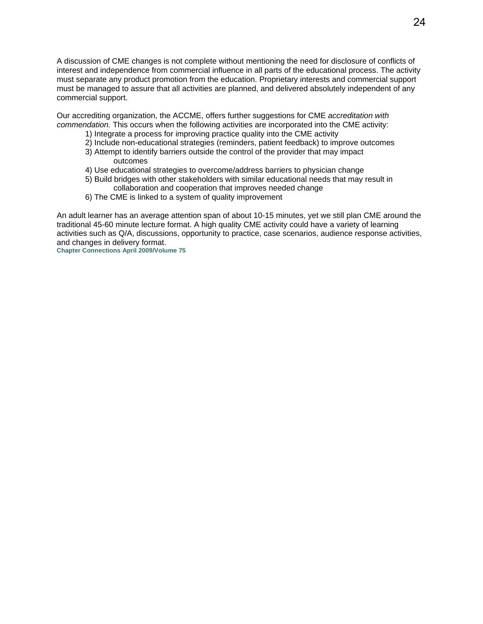A discussion of CME changes is not complete without mentioning the need for disclosure of conflicts of interest and independence from commercial influence in all parts of the educational process. The activity must separate any product promotion from the education. Proprietary interests and commercial support must be managed to assure that all activities are planned, and delivered absolutely independent of any commercial support.

Our accrediting organization, the ACCME, offers further suggestions for CME *accreditation with commendation.* This occurs when the following activities are incorporated into the CME activity:

- 1) Integrate a process for improving practice quality into the CME activity
- 2) Include non-educational strategies (reminders, patient feedback) to improve outcomes
- 3) Attempt to identify barriers outside the control of the provider that may impact outcomes
- 4) Use educational strategies to overcome/address barriers to physician change
- 5) Build bridges with other stakeholders with similar educational needs that may result in collaboration and cooperation that improves needed change
- 6) The CME is linked to a system of quality improvement

An adult learner has an average attention span of about 10-15 minutes, yet we still plan CME around the traditional 45-60 minute lecture format. A high quality CME activity could have a variety of learning activities such as Q/A, discussions, opportunity to practice, case scenarios, audience response activities, and changes in delivery format.

**Chapter Connections April 2009/Volume 75**